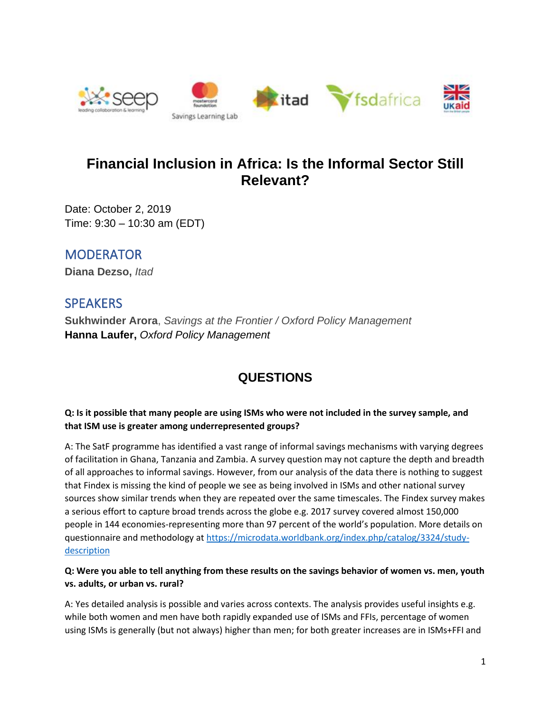

# **Financial Inclusion in Africa: Is the Informal Sector Still Relevant?**

Date: October 2, 2019 Time: 9:30 – 10:30 am (EDT)

## MODERATOR

**Diana Dezso,** *Itad*

## **SPEAKERS**

**Sukhwinder Arora**, *Savings at the Frontier / Oxford Policy Management* **Hanna Laufer,** *Oxford Policy Management*

# **QUESTIONS**

#### **Q: Is it possible that many people are using ISMs who were not included in the survey sample, and that ISM use is greater among underrepresented groups?**

A: The SatF programme has identified a vast range of informal savings mechanisms with varying degrees of facilitation in Ghana, Tanzania and Zambia. A survey question may not capture the depth and breadth of all approaches to informal savings. However, from our analysis of the data there is nothing to suggest that Findex is missing the kind of people we see as being involved in ISMs and other national survey sources show similar trends when they are repeated over the same timescales. The Findex survey makes a serious effort to capture broad trends across the globe e.g. 2017 survey covered almost 150,000 people in 144 economies-representing more than 97 percent of the world's population. More details on questionnaire and methodology at [https://microdata.worldbank.org/index.php/catalog/3324/study](https://microdata.worldbank.org/index.php/catalog/3324/study-description)[description](https://microdata.worldbank.org/index.php/catalog/3324/study-description)

#### **Q: Were you able to tell anything from these results on the savings behavior of women vs. men, youth vs. adults, or urban vs. rural?**

A: Yes detailed analysis is possible and varies across contexts. The analysis provides useful insights e.g. while both women and men have both rapidly expanded use of ISMs and FFIs, percentage of women using ISMs is generally (but not always) higher than men; for both greater increases are in ISMs+FFI and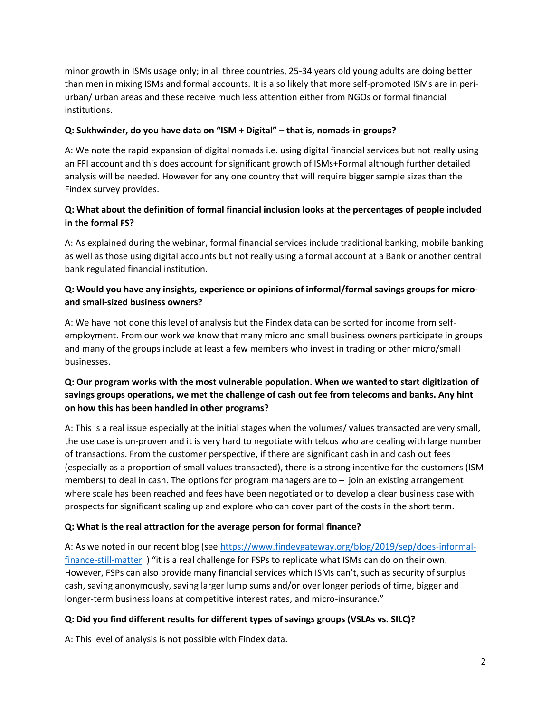minor growth in ISMs usage only; in all three countries, 25-34 years old young adults are doing better than men in mixing ISMs and formal accounts. It is also likely that more self-promoted ISMs are in periurban/ urban areas and these receive much less attention either from NGOs or formal financial institutions.

#### **Q: Sukhwinder, do you have data on "ISM + Digital" – that is, nomads-in-groups?**

A: We note the rapid expansion of digital nomads i.e. using digital financial services but not really using an FFI account and this does account for significant growth of ISMs+Formal although further detailed analysis will be needed. However for any one country that will require bigger sample sizes than the Findex survey provides.

#### **Q: What about the definition of formal financial inclusion looks at the percentages of people included in the formal FS?**

A: As explained during the webinar, formal financial services include traditional banking, mobile banking as well as those using digital accounts but not really using a formal account at a Bank or another central bank regulated financial institution.

#### **Q: Would you have any insights, experience or opinions of informal/formal savings groups for microand small-sized business owners?**

A: We have not done this level of analysis but the Findex data can be sorted for income from selfemployment. From our work we know that many micro and small business owners participate in groups and many of the groups include at least a few members who invest in trading or other micro/small businesses.

### **Q: Our program works with the most vulnerable population. When we wanted to start digitization of savings groups operations, we met the challenge of cash out fee from telecoms and banks. Any hint on how this has been handled in other programs?**

A: This is a real issue especially at the initial stages when the volumes/ values transacted are very small, the use case is un-proven and it is very hard to negotiate with telcos who are dealing with large number of transactions. From the customer perspective, if there are significant cash in and cash out fees (especially as a proportion of small values transacted), there is a strong incentive for the customers (ISM members) to deal in cash. The options for program managers are to  $-$  join an existing arrangement where scale has been reached and fees have been negotiated or to develop a clear business case with prospects for significant scaling up and explore who can cover part of the costs in the short term.

### **Q: What is the real attraction for the average person for formal finance?**

A: As we noted in our recent blog (see [https://www.findevgateway.org/blog/2019/sep/does-informal](https://www.findevgateway.org/blog/2019/sep/does-informal-finance-still-matter)[finance-still-matter](https://www.findevgateway.org/blog/2019/sep/does-informal-finance-still-matter) ) "it is a real challenge for FSPs to replicate what ISMs can do on their own. However, FSPs can also provide many financial services which ISMs can't, such as security of surplus cash, saving anonymously, saving larger lump sums and/or over longer periods of time, bigger and longer-term business loans at competitive interest rates, and micro-insurance."

### **Q: Did you find different results for different types of savings groups (VSLAs vs. SILC)?**

A: This level of analysis is not possible with Findex data.